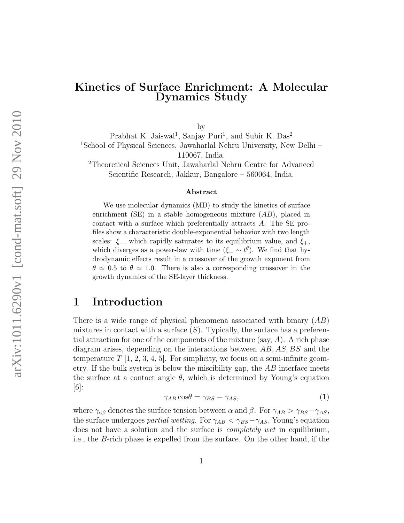## Kinetics of Surface Enrichment: A Molecular Dynamics Study

by

Prabhat K. Jaiswal<sup>1</sup>, Sanjay Puri<sup>1</sup>, and Subir K. Das<sup>2</sup> <sup>1</sup>School of Physical Sciences, Jawaharlal Nehru University, New Delhi – 110067, India.

<sup>2</sup>Theoretical Sciences Unit, Jawaharlal Nehru Centre for Advanced Scientific Research, Jakkur, Bangalore – 560064, India.

#### Abstract

We use molecular dynamics (MD) to study the kinetics of surface enrichment (SE) in a stable homogeneous mixture  $(AB)$ , placed in contact with a surface which preferentially attracts A. The SE profiles show a characteristic double-exponential behavior with two length scales:  $\xi$ <sub>-</sub>, which rapidly saturates to its equilibrium value, and  $\xi$ <sub>+</sub>, which diverges as a power-law with time  $(\xi_+ \sim t^{\theta})$ . We find that hydrodynamic effects result in a crossover of the growth exponent from  $\theta \simeq 0.5$  to  $\theta \simeq 1.0$ . There is also a corresponding crossover in the growth dynamics of the SE-layer thickness.

# 1 Introduction

There is a wide range of physical phenomena associated with binary (AB) mixtures in contact with a surface  $(S)$ . Typically, the surface has a preferential attraction for one of the components of the mixture (say,  $A$ ). A rich phase diagram arises, depending on the interactions between AB, AS, BS and the temperature  $T$  [1, 2, 3, 4, 5]. For simplicity, we focus on a semi-infinite geometry. If the bulk system is below the miscibility gap, the  $AB$  interface meets the surface at a contact angle  $\theta$ , which is determined by Young's equation  $|6|$ :

$$
\gamma_{AB}\cos\theta = \gamma_{BS} - \gamma_{AS},\tag{1}
$$

where  $\gamma_{\alpha\beta}$  denotes the surface tension between  $\alpha$  and  $\beta$ . For  $\gamma_{AB} > \gamma_{BS} - \gamma_{AS}$ , the surface undergoes partial wetting. For  $\gamma_{AB} < \gamma_{BS} - \gamma_{AS}$ , Young's equation does not have a solution and the surface is completely wet in equilibrium, i.e., the B-rich phase is expelled from the surface. On the other hand, if the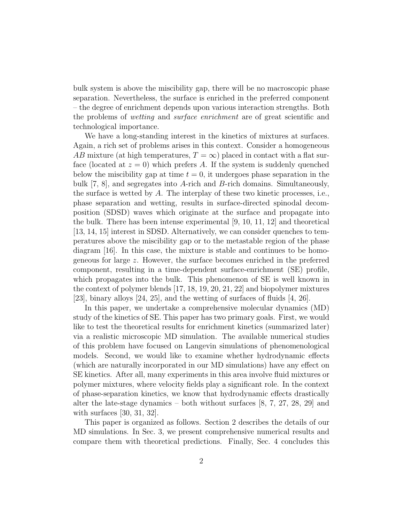bulk system is above the miscibility gap, there will be no macroscopic phase separation. Nevertheless, the surface is enriched in the preferred component – the degree of enrichment depends upon various interaction strengths. Both the problems of wetting and surface enrichment are of great scientific and technological importance.

We have a long-standing interest in the kinetics of mixtures at surfaces. Again, a rich set of problems arises in this context. Consider a homogeneous AB mixture (at high temperatures,  $T = \infty$ ) placed in contact with a flat surface (located at  $z = 0$ ) which prefers A. If the system is suddenly quenched below the miscibility gap at time  $t = 0$ , it undergoes phase separation in the bulk [7, 8], and segregates into A-rich and B-rich domains. Simultaneously, the surface is wetted by  $A$ . The interplay of these two kinetic processes, i.e., phase separation and wetting, results in surface-directed spinodal decomposition (SDSD) waves which originate at the surface and propagate into the bulk. There has been intense experimental [9, 10, 11, 12] and theoretical [13, 14, 15] interest in SDSD. Alternatively, we can consider quenches to temperatures above the miscibility gap or to the metastable region of the phase diagram [16]. In this case, the mixture is stable and continues to be homogeneous for large z. However, the surface becomes enriched in the preferred component, resulting in a time-dependent surface-enrichment (SE) profile, which propagates into the bulk. This phenomenon of SE is well known in the context of polymer blends [17, 18, 19, 20, 21, 22] and biopolymer mixtures [23], binary alloys [24, 25], and the wetting of surfaces of fluids [4, 26].

In this paper, we undertake a comprehensive molecular dynamics (MD) study of the kinetics of SE. This paper has two primary goals. First, we would like to test the theoretical results for enrichment kinetics (summarized later) via a realistic microscopic MD simulation. The available numerical studies of this problem have focused on Langevin simulations of phenomenological models. Second, we would like to examine whether hydrodynamic effects (which are naturally incorporated in our MD simulations) have any effect on SE kinetics. After all, many experiments in this area involve fluid mixtures or polymer mixtures, where velocity fields play a significant role. In the context of phase-separation kinetics, we know that hydrodynamic effects drastically alter the late-stage dynamics – both without surfaces  $[8, 7, 27, 28, 29]$  and with surfaces [30, 31, 32].

This paper is organized as follows. Section 2 describes the details of our MD simulations. In Sec. 3, we present comprehensive numerical results and compare them with theoretical predictions. Finally, Sec. 4 concludes this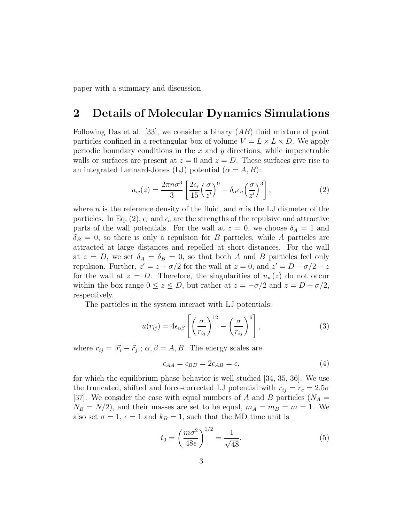paper with a summary and discussion.

## 2 Details of Molecular Dynamics Simulations

Following Das et al. [33], we consider a binary  $(AB)$  fluid mixture of point particles confined in a rectangular box of volume  $V = L \times L \times D$ . We apply periodic boundary conditions in the  $x$  and  $y$  directions, while impenetrable walls or surfaces are present at  $z = 0$  and  $z = D$ . These surfaces give rise to an integrated Lennard-Jones (LJ) potential  $(\alpha = A, B)$ :

$$
u_w(z) = \frac{2\pi n \sigma^3}{3} \left[ \frac{2\epsilon_r}{15} \left( \frac{\sigma}{z'} \right)^9 - \delta_\alpha \epsilon_a \left( \frac{\sigma}{z'} \right)^3 \right],\tag{2}
$$

where n is the reference density of the fluid, and  $\sigma$  is the LJ diameter of the particles. In Eq. (2),  $\epsilon_r$  and  $\epsilon_a$  are the strengths of the repulsive and attractive parts of the wall potentials. For the wall at  $z = 0$ , we choose  $\delta_A = 1$  and  $\delta_B = 0$ , so there is only a repulsion for B particles, while A particles are attracted at large distances and repelled at short distances. For the wall at  $z = D$ , we set  $\delta_A = \delta_B = 0$ , so that both A and B particles feel only repulsion. Further,  $z' = z + \frac{\sigma}{2}$  for the wall at  $z = 0$ , and  $z' = D + \frac{\sigma}{2} - z$ for the wall at  $z = D$ . Therefore, the singularities of  $u_w(z)$  do not occur within the box range  $0 \le z \le D$ , but rather at  $z = -\sigma/2$  and  $z = D + \sigma/2$ , respectively.

The particles in the system interact with LJ potentials:

$$
u(r_{ij}) = 4\epsilon_{\alpha\beta} \left[ \left(\frac{\sigma}{r_{ij}}\right)^{12} - \left(\frac{\sigma}{r_{ij}}\right)^{6} \right],\tag{3}
$$

where  $r_{ij} = |\vec{r}_i - \vec{r}_j|$ ;  $\alpha, \beta = A, B$ . The energy scales are

$$
\epsilon_{AA} = \epsilon_{BB} = 2\epsilon_{AB} = \epsilon,\tag{4}
$$

for which the equilibrium phase behavior is well studied [34, 35, 36]. We use the truncated, shifted and force-corrected LJ potential with  $r_{ij} = r_c = 2.5\sigma$ [37]. We consider the case with equal numbers of A and B particles ( $N_A =$  $N_B = N/2$ , and their masses are set to be equal,  $m_A = m_B = m = 1$ . We also set  $\sigma = 1$ ,  $\epsilon = 1$  and  $k_B = 1$ , such that the MD time unit is

$$
t_0 = \left(\frac{m\sigma^2}{48\epsilon}\right)^{1/2} = \frac{1}{\sqrt{48}}.\tag{5}
$$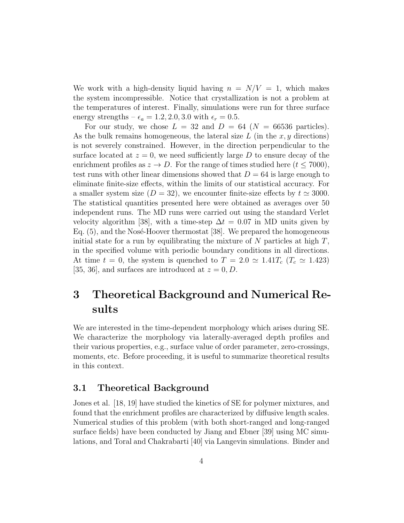We work with a high-density liquid having  $n = N/V = 1$ , which makes the system incompressible. Notice that crystallization is not a problem at the temperatures of interest. Finally, simulations were run for three surface energy strengths –  $\epsilon_a = 1.2, 2.0, 3.0$  with  $\epsilon_r = 0.5$ .

For our study, we chose  $L = 32$  and  $D = 64$  ( $N = 66536$  particles). As the bulk remains homogeneous, the lateral size  $L$  (in the  $x, y$  directions) is not severely constrained. However, in the direction perpendicular to the surface located at  $z = 0$ , we need sufficiently large D to ensure decay of the enrichment profiles as  $z \to D$ . For the range of times studied here  $(t \leq 7000)$ , test runs with other linear dimensions showed that  $D = 64$  is large enough to eliminate finite-size effects, within the limits of our statistical accuracy. For a smaller system size  $(D = 32)$ , we encounter finite-size effects by  $t \approx 3000$ . The statistical quantities presented here were obtained as averages over 50 independent runs. The MD runs were carried out using the standard Verlet velocity algorithm [38], with a time-step  $\Delta t = 0.07$  in MD units given by Eq.  $(5)$ , and the Nosé-Hoover thermostat [38]. We prepared the homogeneous initial state for a run by equilibrating the mixture of  $N$  particles at high  $T$ , in the specified volume with periodic boundary conditions in all directions. At time  $t = 0$ , the system is quenched to  $T = 2.0 \approx 1.41T_c$  ( $T_c \approx 1.423$ ) [35, 36], and surfaces are introduced at  $z = 0, D$ .

# 3 Theoretical Background and Numerical Results

We are interested in the time-dependent morphology which arises during SE. We characterize the morphology via laterally-averaged depth profiles and their various properties, e.g., surface value of order parameter, zero-crossings, moments, etc. Before proceeding, it is useful to summarize theoretical results in this context.

## 3.1 Theoretical Background

Jones et al. [18, 19] have studied the kinetics of SE for polymer mixtures, and found that the enrichment profiles are characterized by diffusive length scales. Numerical studies of this problem (with both short-ranged and long-ranged surface fields) have been conducted by Jiang and Ebner [39] using MC simulations, and Toral and Chakrabarti [40] via Langevin simulations. Binder and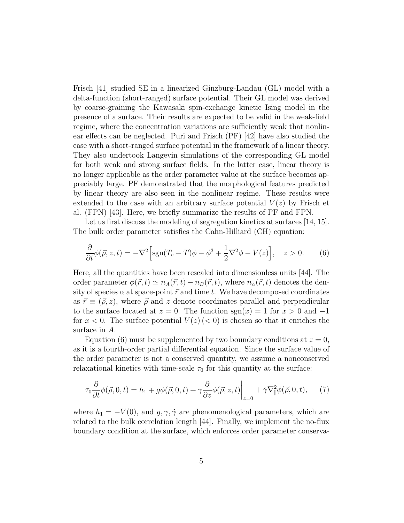Frisch [41] studied SE in a linearized Ginzburg-Landau (GL) model with a delta-function (short-ranged) surface potential. Their GL model was derived by coarse-graining the Kawasaki spin-exchange kinetic Ising model in the presence of a surface. Their results are expected to be valid in the weak-field regime, where the concentration variations are sufficiently weak that nonlinear effects can be neglected. Puri and Frisch (PF) [42] have also studied the case with a short-ranged surface potential in the framework of a linear theory. They also undertook Langevin simulations of the corresponding GL model for both weak and strong surface fields. In the latter case, linear theory is no longer applicable as the order parameter value at the surface becomes appreciably large. PF demonstrated that the morphological features predicted by linear theory are also seen in the nonlinear regime. These results were extended to the case with an arbitrary surface potential  $V(z)$  by Frisch et al. (FPN) [43]. Here, we briefly summarize the results of PF and FPN.

Let us first discuss the modeling of segregation kinetics at surfaces [14, 15]. The bulk order parameter satisfies the Cahn-Hilliard (CH) equation:

$$
\frac{\partial}{\partial t}\phi(\vec{\rho}, z, t) = -\nabla^2 \Big[ \text{sgn}(T_c - T)\phi - \phi^3 + \frac{1}{2}\nabla^2 \phi - V(z) \Big], \quad z > 0. \tag{6}
$$

Here, all the quantities have been rescaled into dimensionless units [44]. The order parameter  $\phi(\vec{r}, t) \simeq n_A(\vec{r}, t) - n_B(\vec{r}, t)$ , where  $n_\alpha(\vec{r}, t)$  denotes the density of species  $\alpha$  at space-point  $\vec{r}$  and time t. We have decomposed coordinates as  $\vec{r} \equiv (\vec{\rho}, z)$ , where  $\vec{\rho}$  and z denote coordinates parallel and perpendicular to the surface located at  $z = 0$ . The function sgn(x) = 1 for  $x > 0$  and -1 for  $x < 0$ . The surface potential  $V(z)$  ( $< 0$ ) is chosen so that it enriches the surface in A.

Equation (6) must be supplemented by two boundary conditions at  $z = 0$ , as it is a fourth-order partial differential equation. Since the surface value of the order parameter is not a conserved quantity, we assume a nonconserved relaxational kinetics with time-scale  $\tau_0$  for this quantity at the surface:

$$
\tau_0 \frac{\partial}{\partial t} \phi(\vec{\rho}, 0, t) = h_1 + g\phi(\vec{\rho}, 0, t) + \gamma \frac{\partial}{\partial z} \phi(\vec{\rho}, z, t) \Big|_{z=0} + \tilde{\gamma} \nabla_{\parallel}^2 \phi(\vec{\rho}, 0, t), \tag{7}
$$

where  $h_1 = -V(0)$ , and  $g, \gamma, \tilde{\gamma}$  are phenomenological parameters, which are related to the bulk correlation length [44]. Finally, we implement the no-flux boundary condition at the surface, which enforces order parameter conserva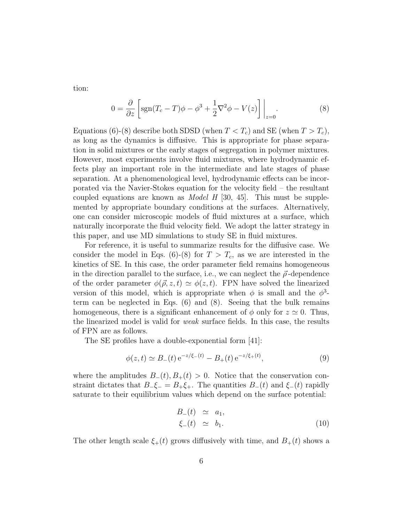tion:

$$
0 = \frac{\partial}{\partial z} \left[ \text{sgn}(T_c - T)\phi - \phi^3 + \frac{1}{2}\nabla^2 \phi - V(z) \right] \Big|_{z=0}.
$$
 (8)

Equations (6)-(8) describe both SDSD (when  $T < T_c$ ) and SE (when  $T > T_c$ ), as long as the dynamics is diffusive. This is appropriate for phase separation in solid mixtures or the early stages of segregation in polymer mixtures. However, most experiments involve fluid mixtures, where hydrodynamic effects play an important role in the intermediate and late stages of phase separation. At a phenomenological level, hydrodynamic effects can be incorporated via the Navier-Stokes equation for the velocity field – the resultant coupled equations are known as *Model H* [30, 45]. This must be supplemented by appropriate boundary conditions at the surfaces. Alternatively, one can consider microscopic models of fluid mixtures at a surface, which naturally incorporate the fluid velocity field. We adopt the latter strategy in this paper, and use MD simulations to study SE in fluid mixtures.

For reference, it is useful to summarize results for the diffusive case. We consider the model in Eqs. (6)-(8) for  $T > T_c$ , as we are interested in the kinetics of SE. In this case, the order parameter field remains homogeneous in the direction parallel to the surface, i.e., we can neglect the  $\vec{\rho}$ -dependence of the order parameter  $\phi(\vec{\rho}, z, t) \simeq \phi(z, t)$ . FPN have solved the linearized version of this model, which is appropriate when  $\phi$  is small and the  $\phi^3$ term can be neglected in Eqs. (6) and (8). Seeing that the bulk remains homogeneous, there is a significant enhancement of  $\phi$  only for  $z \simeq 0$ . Thus, the linearized model is valid for weak surface fields. In this case, the results of FPN are as follows.

The SE profiles have a double-exponential form [41]:

$$
\phi(z,t) \simeq B_-(t) e^{-z/\xi_-(t)} - B_+(t) e^{-z/\xi_+(t)},\tag{9}
$$

where the amplitudes  $B_-(t), B_+(t) > 0$ . Notice that the conservation constraint dictates that  $B_-\xi_-=B_+\xi_+$ . The quantities  $B_-(t)$  and  $\xi_-(t)$  rapidly saturate to their equilibrium values which depend on the surface potential:

$$
B_{-}(t) \simeq a_1,
$$
  
\n
$$
\xi_{-}(t) \simeq b_1.
$$
\n(10)

The other length scale  $\xi_{+}(t)$  grows diffusively with time, and  $B_{+}(t)$  shows a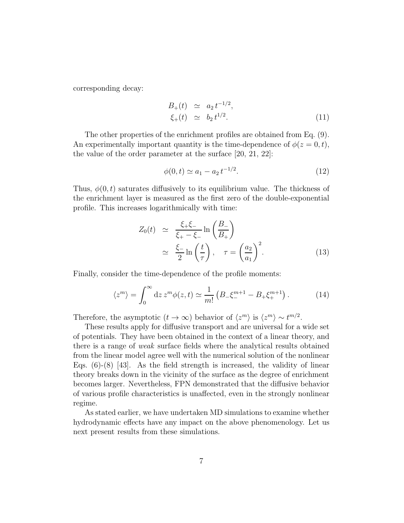corresponding decay:

$$
B_{+}(t) \simeq a_2 t^{-1/2}, \n\xi_{+}(t) \simeq b_2 t^{1/2}.
$$
\n(11)

The other properties of the enrichment profiles are obtained from Eq. (9). An experimentally important quantity is the time-dependence of  $\phi(z=0,t)$ , the value of the order parameter at the surface [20, 21, 22]:

$$
\phi(0, t) \simeq a_1 - a_2 t^{-1/2}.
$$
\n(12)

Thus,  $\phi(0, t)$  saturates diffusively to its equilibrium value. The thickness of the enrichment layer is measured as the first zero of the double-exponential profile. This increases logarithmically with time:

$$
Z_0(t) \simeq \frac{\xi_+\xi_-}{\xi_+-\xi_-} \ln\left(\frac{B_-}{B_+}\right)
$$
  
 
$$
\simeq \frac{\xi_-}{2} \ln\left(\frac{t}{\tau}\right), \quad \tau = \left(\frac{a_2}{a_1}\right)^2.
$$
 (13)

Finally, consider the time-dependence of the profile moments:

$$
\langle z^m \rangle = \int_0^\infty dz \, z^m \phi(z, t) \simeq \frac{1}{m!} \left( B_- \xi_-^{m+1} - B_+ \xi_+^{m+1} \right). \tag{14}
$$

Therefore, the asymptotic  $(t \to \infty)$  behavior of  $\langle z^m \rangle$  is  $\langle z^m \rangle \sim t^{m/2}$ .

These results apply for diffusive transport and are universal for a wide set of potentials. They have been obtained in the context of a linear theory, and there is a range of weak surface fields where the analytical results obtained from the linear model agree well with the numerical solution of the nonlinear Eqs.  $(6)-(8)$  [43]. As the field strength is increased, the validity of linear theory breaks down in the vicinity of the surface as the degree of enrichment becomes larger. Nevertheless, FPN demonstrated that the diffusive behavior of various profile characteristics is unaffected, even in the strongly nonlinear regime.

As stated earlier, we have undertaken MD simulations to examine whether hydrodynamic effects have any impact on the above phenomenology. Let us next present results from these simulations.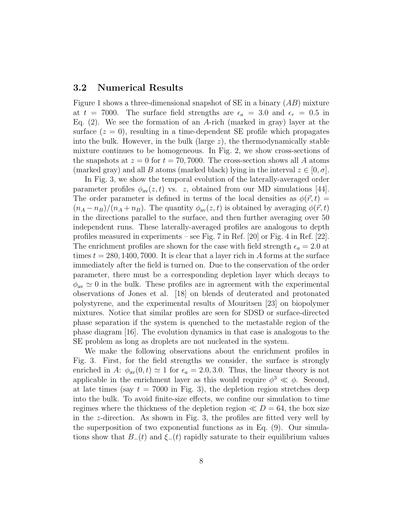### 3.2 Numerical Results

Figure 1 shows a three-dimensional snapshot of  $SE$  in a binary  $(AB)$  mixture at t = 7000. The surface field strengths are  $\epsilon_a = 3.0$  and  $\epsilon_r = 0.5$  in Eq.  $(2)$ . We see the formation of an A-rich (marked in gray) layer at the surface  $(z = 0)$ , resulting in a time-dependent SE profile which propagates into the bulk. However, in the bulk (large  $z$ ), the thermodynamically stable mixture continues to be homogeneous. In Fig. 2, we show cross-sections of the snapshots at  $z = 0$  for  $t = 70,7000$ . The cross-section shows all A atoms (marked gray) and all B atoms (marked black) lying in the interval  $z \in [0, \sigma]$ .

In Fig. 3, we show the temporal evolution of the laterally-averaged order parameter profiles  $\phi_{av}(z, t)$  vs. z, obtained from our MD simulations [44]. The order parameter is defined in terms of the local densities as  $\phi(\vec{r}, t)$  =  $(n_A - n_B)/(n_A + n_B)$ . The quantity  $\phi_{av}(z, t)$  is obtained by averaging  $\phi(\vec{r}, t)$ in the directions parallel to the surface, and then further averaging over 50 independent runs. These laterally-averaged profiles are analogous to depth profiles measured in experiments – see Fig. 7 in Ref. [20] or Fig. 4 in Ref. [22]. The enrichment profiles are shown for the case with field strength  $\epsilon_a = 2.0$  at times  $t = 280, 1400, 7000$ . It is clear that a layer rich in A forms at the surface immediately after the field is turned on. Due to the conservation of the order parameter, there must be a corresponding depletion layer which decays to  $\phi_{av} \simeq 0$  in the bulk. These profiles are in agreement with the experimental observations of Jones et al. [18] on blends of deuterated and protonated polystyrene, and the experimental results of Mouritsen [23] on biopolymer mixtures. Notice that similar profiles are seen for SDSD or surface-directed phase separation if the system is quenched to the metastable region of the phase diagram [16]. The evolution dynamics in that case is analogous to the SE problem as long as droplets are not nucleated in the system.

We make the following observations about the enrichment profiles in Fig. 3. First, for the field strengths we consider, the surface is strongly enriched in A:  $\phi_{av}(0, t) \simeq 1$  for  $\epsilon_a = 2.0, 3.0$ . Thus, the linear theory is not applicable in the enrichment layer as this would require  $\phi^3 \ll \phi$ . Second, at late times (say  $t = 7000$  in Fig. 3), the depletion region stretches deep into the bulk. To avoid finite-size effects, we confine our simulation to time regimes where the thickness of the depletion region  $\ll D = 64$ , the box size in the z-direction. As shown in Fig. 3, the profiles are fitted very well by the superposition of two exponential functions as in Eq. (9). Our simulations show that  $B_-(t)$  and  $\xi_-(t)$  rapidly saturate to their equilibrium values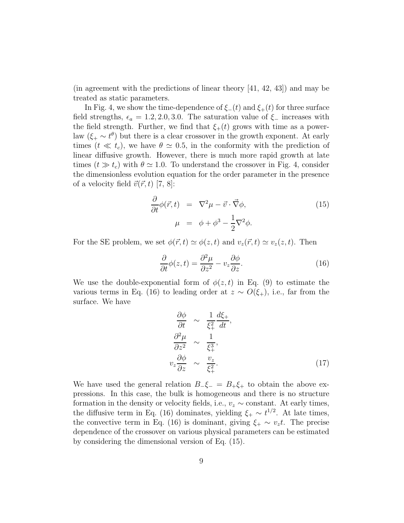(in agreement with the predictions of linear theory [41, 42, 43]) and may be treated as static parameters.

In Fig. 4, we show the time-dependence of  $\xi_{-}(t)$  and  $\xi_{+}(t)$  for three surface field strengths,  $\epsilon_a = 1.2, 2.0, 3.0$ . The saturation value of  $\xi$ <sub>−</sub> increases with the field strength. Further, we find that  $\xi_{+}(t)$  grows with time as a powerlaw  $(\xi_+ \sim t^{\theta})$  but there is a clear crossover in the growth exponent. At early times ( $t \ll t_c$ ), we have  $\theta \simeq 0.5$ , in the conformity with the prediction of linear diffusive growth. However, there is much more rapid growth at late times ( $t \gg t_c$ ) with  $\theta \simeq 1.0$ . To understand the crossover in Fig. 4, consider the dimensionless evolution equation for the order parameter in the presence of a velocity field  $\vec{v}(\vec{r}, t)$  [7, 8]:

$$
\frac{\partial}{\partial t}\phi(\vec{r},t) = \nabla^2 \mu - \vec{v} \cdot \vec{\nabla}\phi,
$$
\n
$$
\mu = \phi + \phi^3 - \frac{1}{2}\nabla^2 \phi.
$$
\n(15)

For the SE problem, we set  $\phi(\vec{r}, t) \simeq \phi(z, t)$  and  $v_z(\vec{r}, t) \simeq v_z(z, t)$ . Then

$$
\frac{\partial}{\partial t}\phi(z,t) = \frac{\partial^2 \mu}{\partial z^2} - v_z \frac{\partial \phi}{\partial z}.
$$
\n(16)

We use the double-exponential form of  $\phi(z,t)$  in Eq. (9) to estimate the various terms in Eq. (16) to leading order at  $z \sim O(\xi_{+})$ , i.e., far from the surface. We have

$$
\frac{\partial \phi}{\partial t} \sim \frac{1}{\xi_+^2} \frac{d\xi_+}{dt},
$$
  
\n
$$
\frac{\partial^2 \mu}{\partial z^2} \sim \frac{1}{\xi_+^3},
$$
  
\n
$$
v_z \frac{\partial \phi}{\partial z} \sim \frac{v_z}{\xi_+^2}.
$$
\n(17)

We have used the general relation  $B_-\xi_-=B_+\xi_+$  to obtain the above expressions. In this case, the bulk is homogeneous and there is no structure formation in the density or velocity fields, i.e.,  $v_z \sim$  constant. At early times, the diffusive term in Eq. (16) dominates, yielding  $\xi_+ \sim t^{1/2}$ . At late times, the convective term in Eq. (16) is dominant, giving  $\xi_+ \sim v_z t$ . The precise dependence of the crossover on various physical parameters can be estimated by considering the dimensional version of Eq. (15).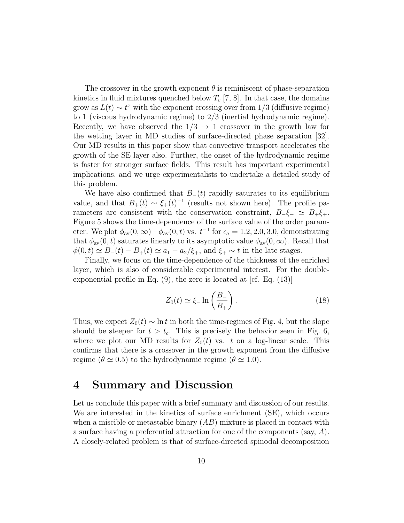The crossover in the growth exponent  $\theta$  is reminiscent of phase-separation kinetics in fluid mixtures quenched below  $T_c$  [7, 8]. In that case, the domains grow as  $L(t) \sim t^x$  with the exponent crossing over from 1/3 (diffusive regime) to 1 (viscous hydrodynamic regime) to 2/3 (inertial hydrodynamic regime). Recently, we have observed the  $1/3 \rightarrow 1$  crossover in the growth law for the wetting layer in MD studies of surface-directed phase separation [32]. Our MD results in this paper show that convective transport accelerates the growth of the SE layer also. Further, the onset of the hydrodynamic regime is faster for stronger surface fields. This result has important experimental implications, and we urge experimentalists to undertake a detailed study of this problem.

We have also confirmed that  $B_-(t)$  rapidly saturates to its equilibrium value, and that  $B_+(t) \sim \xi_+(t)^{-1}$  (results not shown here). The profile parameters are consistent with the conservation constraint,  $B_-\xi_-\simeq B_+\xi_+$ . Figure 5 shows the time-dependence of the surface value of the order parameter. We plot  $\phi_{av}(0,\infty) - \phi_{av}(0,t)$  vs.  $t^{-1}$  for  $\epsilon_a = 1.2, 2.0, 3.0$ , demonstrating that  $\phi_{av}(0, t)$  saturates linearly to its asymptotic value  $\phi_{av}(0, \infty)$ . Recall that  $\phi(0,t) \simeq B_-(t) - B_+(t) \simeq a_1 - a_2/\xi_+$ , and  $\xi_+ \sim t$  in the late stages.

Finally, we focus on the time-dependence of the thickness of the enriched layer, which is also of considerable experimental interest. For the doubleexponential profile in Eq.  $(9)$ , the zero is located at [cf. Eq.  $(13)$ ]

$$
Z_0(t) \simeq \xi_- \ln\left(\frac{B_-}{B_+}\right). \tag{18}
$$

Thus, we expect  $Z_0(t) \sim \ln t$  in both the time-regimes of Fig. 4, but the slope should be steeper for  $t > t_c$ . This is precisely the behavior seen in Fig. 6, where we plot our MD results for  $Z_0(t)$  vs. t on a log-linear scale. This confirms that there is a crossover in the growth exponent from the diffusive regime ( $\theta \simeq 0.5$ ) to the hydrodynamic regime ( $\theta \simeq 1.0$ ).

## 4 Summary and Discussion

Let us conclude this paper with a brief summary and discussion of our results. We are interested in the kinetics of surface enrichment (SE), which occurs when a miscible or metastable binary  $(AB)$  mixture is placed in contact with a surface having a preferential attraction for one of the components (say, A). A closely-related problem is that of surface-directed spinodal decomposition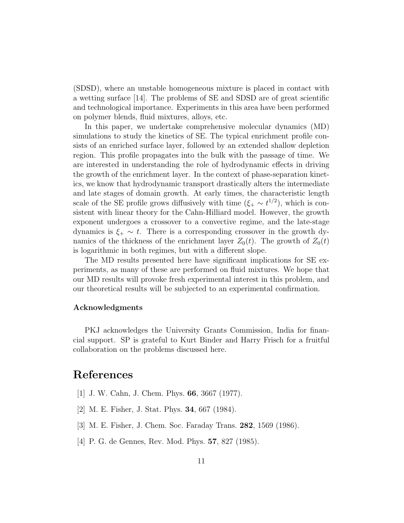(SDSD), where an unstable homogeneous mixture is placed in contact with a wetting surface [14]. The problems of SE and SDSD are of great scientific and technological importance. Experiments in this area have been performed on polymer blends, fluid mixtures, alloys, etc.

In this paper, we undertake comprehensive molecular dynamics (MD) simulations to study the kinetics of SE. The typical enrichment profile consists of an enriched surface layer, followed by an extended shallow depletion region. This profile propagates into the bulk with the passage of time. We are interested in understanding the role of hydrodynamic effects in driving the growth of the enrichment layer. In the context of phase-separation kinetics, we know that hydrodynamic transport drastically alters the intermediate and late stages of domain growth. At early times, the characteristic length scale of the SE profile grows diffusively with time  $(\xi_+ \sim t^{1/2})$ , which is consistent with linear theory for the Cahn-Hilliard model. However, the growth exponent undergoes a crossover to a convective regime, and the late-stage dynamics is  $\xi_+ \sim t$ . There is a corresponding crossover in the growth dynamics of the thickness of the enrichment layer  $Z_0(t)$ . The growth of  $Z_0(t)$ is logarithmic in both regimes, but with a different slope.

The MD results presented here have significant implications for SE experiments, as many of these are performed on fluid mixtures. We hope that our MD results will provoke fresh experimental interest in this problem, and our theoretical results will be subjected to an experimental confirmation.

#### Acknowledgments

PKJ acknowledges the University Grants Commission, India for financial support. SP is grateful to Kurt Binder and Harry Frisch for a fruitful collaboration on the problems discussed here.

## References

- [1] J. W. Cahn, J. Chem. Phys. 66, 3667 (1977).
- [2] M. E. Fisher, J. Stat. Phys. 34, 667 (1984).
- [3] M. E. Fisher, J. Chem. Soc. Faraday Trans. 282, 1569 (1986).
- [4] P. G. de Gennes, Rev. Mod. Phys. 57, 827 (1985).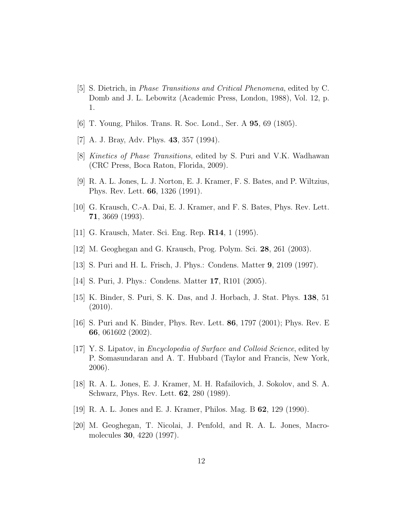- [5] S. Dietrich, in Phase Transitions and Critical Phenomena, edited by C. Domb and J. L. Lebowitz (Academic Press, London, 1988), Vol. 12, p. 1.
- [6] T. Young, Philos. Trans. R. Soc. Lond., Ser. A 95, 69 (1805).
- [7] A. J. Bray, Adv. Phys. **43**, 357 (1994).
- [8] Kinetics of Phase Transitions, edited by S. Puri and V.K. Wadhawan (CRC Press, Boca Raton, Florida, 2009).
- [9] R. A. L. Jones, L. J. Norton, E. J. Kramer, F. S. Bates, and P. Wiltzius, Phys. Rev. Lett. 66, 1326 (1991).
- [10] G. Krausch, C.-A. Dai, E. J. Kramer, and F. S. Bates, Phys. Rev. Lett. 71, 3669 (1993).
- [11] G. Krausch, Mater. Sci. Eng. Rep. R14, 1 (1995).
- [12] M. Geoghegan and G. Krausch, Prog. Polym. Sci. 28, 261 (2003).
- [13] S. Puri and H. L. Frisch, J. Phys.: Condens. Matter 9, 2109 (1997).
- [14] S. Puri, J. Phys.: Condens. Matter 17, R101 (2005).
- [15] K. Binder, S. Puri, S. K. Das, and J. Horbach, J. Stat. Phys. 138, 51 (2010).
- [16] S. Puri and K. Binder, Phys. Rev. Lett. 86, 1797 (2001); Phys. Rev. E 66, 061602 (2002).
- [17] Y. S. Lipatov, in Encyclopedia of Surface and Colloid Science, edited by P. Somasundaran and A. T. Hubbard (Taylor and Francis, New York, 2006).
- [18] R. A. L. Jones, E. J. Kramer, M. H. Rafailovich, J. Sokolov, and S. A. Schwarz, Phys. Rev. Lett. 62, 280 (1989).
- [19] R. A. L. Jones and E. J. Kramer, Philos. Mag. B 62, 129 (1990).
- [20] M. Geoghegan, T. Nicolai, J. Penfold, and R. A. L. Jones, Macromolecules 30, 4220 (1997).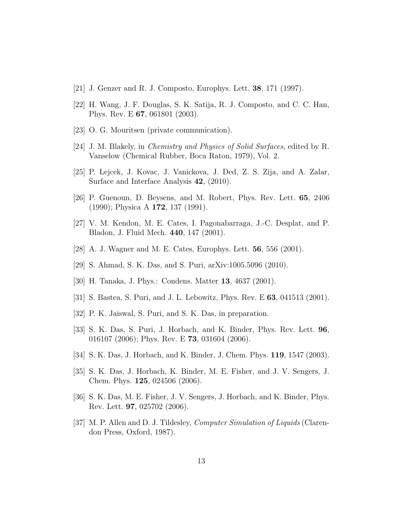- [21] J. Genzer and R. J. Composto, Europhys. Lett. 38, 171 (1997).
- [22] H. Wang, J. F. Douglas, S. K. Satija, R. J. Composto, and C. C. Han, Phys. Rev. E 67, 061801 (2003).
- [23] O. G. Mouritsen (private communication).
- [24] J. M. Blakely, in Chemistry and Physics of Solid Surfaces, edited by R. Vanselow (Chemical Rubber, Boca Raton, 1979), Vol. 2.
- [25] P. Lejcek, J. Kovac, J. Vanickova, J. Ded, Z. S. Zija, and A. Zalar, Surface and Interface Analysis 42, (2010).
- [26] P. Guenoun, D. Beysens, and M. Robert, Phys. Rev. Lett. 65, 2406 (1990); Physica A 172, 137 (1991).
- [27] V. M. Kendon, M. E. Cates, I. Pagonabarraga, J.-C. Desplat, and P. Bladon, J. Fluid Mech. 440, 147 (2001).
- [28] A. J. Wagner and M. E. Cates, Europhys. Lett. 56, 556 (2001).
- [29] S. Ahmad, S. K. Das, and S. Puri, arXiv:1005.5096 (2010).
- [30] H. Tanaka, J. Phys.: Condens. Matter 13, 4637 (2001).
- [31] S. Bastea, S. Puri, and J. L. Lebowitz, Phys. Rev. E 63, 041513 (2001).
- [32] P. K. Jaiswal, S. Puri, and S. K. Das, in preparation.
- [33] S. K. Das, S. Puri, J. Horbach, and K. Binder, Phys. Rev. Lett. 96, 016107 (2006); Phys. Rev. E 73, 031604 (2006).
- [34] S. K. Das, J. Horbach, and K. Binder, J. Chem. Phys. 119, 1547 (2003).
- [35] S. K. Das, J. Horbach, K. Binder, M. E. Fisher, and J. V. Sengers, J. Chem. Phys. 125, 024506 (2006).
- [36] S. K. Das, M. E. Fisher, J. V. Sengers, J. Horbach, and K. Binder, Phys. Rev. Lett. 97, 025702 (2006).
- [37] M. P. Allen and D. J. Tildesley, Computer Simulation of Liquids (Clarendon Press, Oxford, 1987).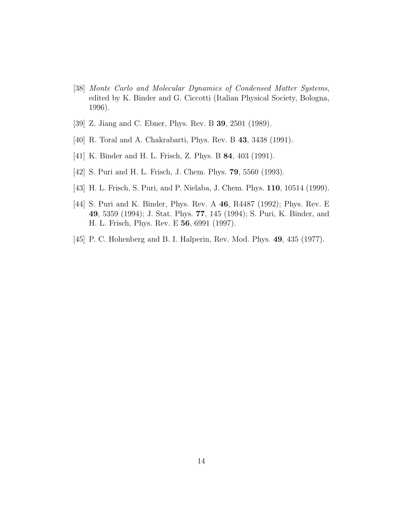- [38] Monte Carlo and Molecular Dynamics of Condensed Matter Systems, edited by K. Binder and G. Ciccotti (Italian Physical Society, Bologna, 1996).
- [39] Z. Jiang and C. Ebner, Phys. Rev. B 39, 2501 (1989).
- [40] R. Toral and A. Chakrabarti, Phys. Rev. B 43, 3438 (1991).
- [41] K. Binder and H. L. Frisch, Z. Phys. B 84, 403 (1991).
- [42] S. Puri and H. L. Frisch, J. Chem. Phys. 79, 5560 (1993).
- [43] H. L. Frisch, S. Puri, and P. Nielaba, J. Chem. Phys. 110, 10514 (1999).
- [44] S. Puri and K. Binder, Phys. Rev. A 46, R4487 (1992); Phys. Rev. E 49, 5359 (1994); J. Stat. Phys. 77, 145 (1994); S. Puri, K. Binder, and H. L. Frisch, Phys. Rev. E 56, 6991 (1997).
- [45] P. C. Hohenberg and B. I. Halperin, Rev. Mod. Phys. **49**, 435 (1977).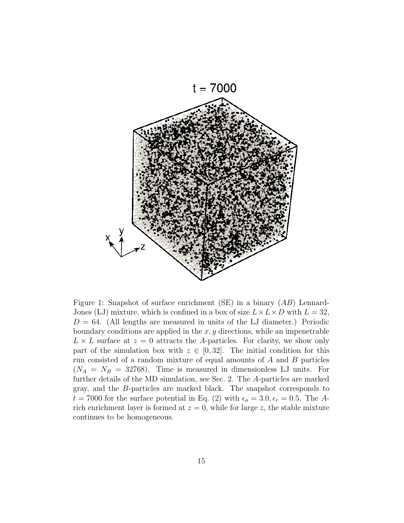

Figure 1: Snapshot of surface enrichment (SE) in a binary (AB) Lennard-Jones (LJ) mixture, which is confined in a box of size  $L \times L \times D$  with  $L = 32$ ,  $D = 64.$  (All lengths are measured in units of the LJ diameter.) Periodic boundary conditions are applied in the  $x, y$  directions, while an impenetrable  $L \times L$  surface at  $z = 0$  attracts the A-particles. For clarity, we show only part of the simulation box with  $z \in [0, 32]$ . The initial condition for this run consisted of a random mixture of equal amounts of  $A$  and  $B$  particles  $(N_A = N_B = 32768)$ . Time is measured in dimensionless LJ units. For further details of the MD simulation, see Sec. 2. The A-particles are marked gray, and the B-particles are marked black. The snapshot corresponds to  $t = 7000$  for the surface potential in Eq. (2) with  $\epsilon_a = 3.0, \epsilon_r = 0.5$ . The Arich enrichment layer is formed at  $z = 0$ , while for large z, the stable mixture continues to be homogeneous.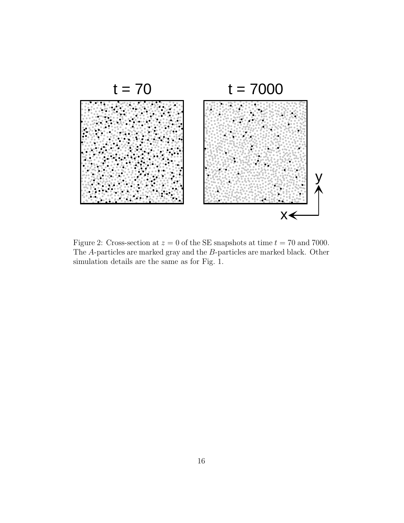

Figure 2: Cross-section at  $z = 0$  of the SE snapshots at time  $t = 70$  and 7000. The A-particles are marked gray and the B-particles are marked black. Other simulation details are the same as for Fig. 1.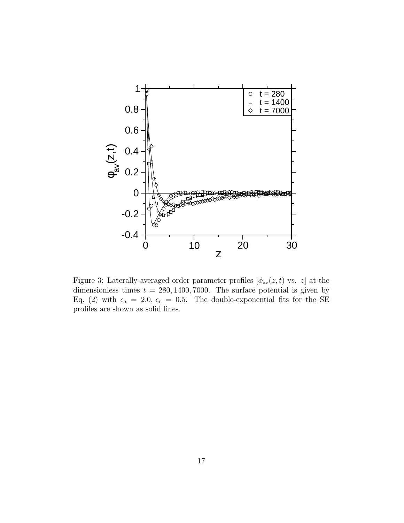

Figure 3: Laterally-averaged order parameter profiles  $[\phi_{av}(z, t)$  vs. z] at the dimensionless times  $t = 280, 1400, 7000$ . The surface potential is given by Eq. (2) with  $\epsilon_a = 2.0, \epsilon_r = 0.5$ . The double-exponential fits for the SE profiles are shown as solid lines.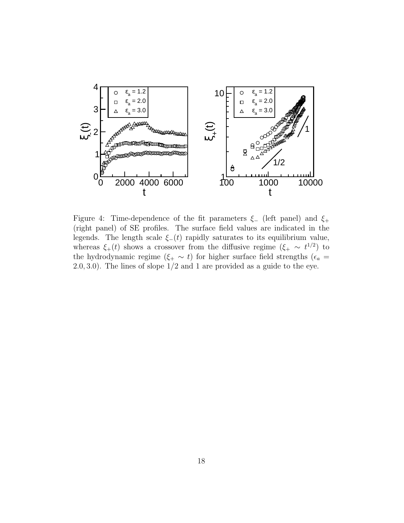

Figure 4: Time-dependence of the fit parameters  $\xi$  (left panel) and  $\xi$ + (right panel) of SE profiles. The surface field values are indicated in the legends. The length scale  $\xi_-(t)$  rapidly saturates to its equilibrium value, whereas  $\xi_{+}(t)$  shows a crossover from the diffusive regime  $(\xi_{+} \sim t^{1/2})$  to the hydrodynamic regime ( $\xi_{+} \sim t$ ) for higher surface field strengths ( $\epsilon_{a}$  = 2.0, 3.0). The lines of slope 1/2 and 1 are provided as a guide to the eye.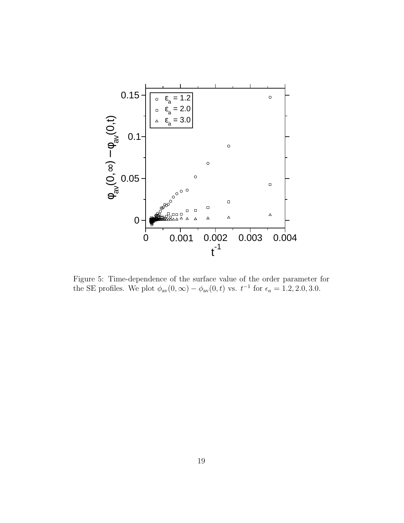

Figure 5: Time-dependence of the surface value of the order parameter for the SE profiles. We plot  $\phi_{av}(0,\infty) - \phi_{av}(0,t)$  vs.  $t^{-1}$  for  $\epsilon_a = 1.2, 2.0, 3.0$ .